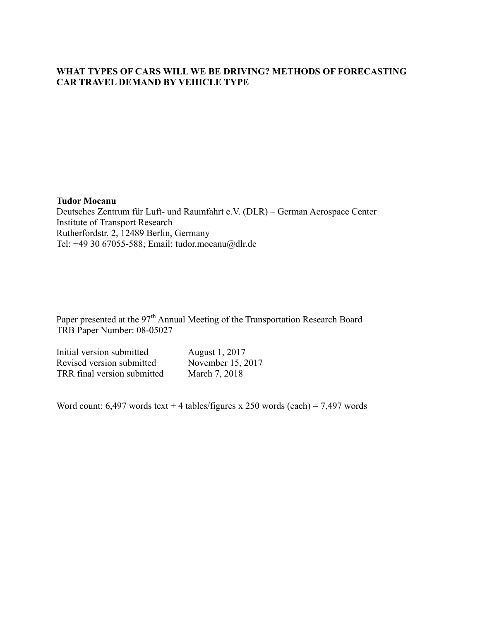### **WHAT TYPES OF CARS WILL WE BE DRIVING? METHODS OF FORECASTING CAR TRAVEL DEMAND BY VEHICLE TYPE**

#### **Tudor Mocanu**

Deutsches Zentrum für Luft- und Raumfahrt e.V. (DLR) – German Aerospace Center Institute of Transport Research Rutherfordstr. 2, 12489 Berlin, Germany Tel: +49 30 67055-588; Email: [tudor.mocanu@dlr.de](mailto:tudor.mocanu@dlr.de)

Paper presented at the 97<sup>th</sup> Annual Meeting of the Transportation Research Board TRB Paper Number: 08-05027

| Initial version submitted   | August 1, 2017    |
|-----------------------------|-------------------|
| Revised version submitted   | November 15, 2017 |
| TRR final version submitted | March 7, 2018     |

Word count:  $6,497$  words text + 4 tables/figures x 250 words (each) = 7,497 words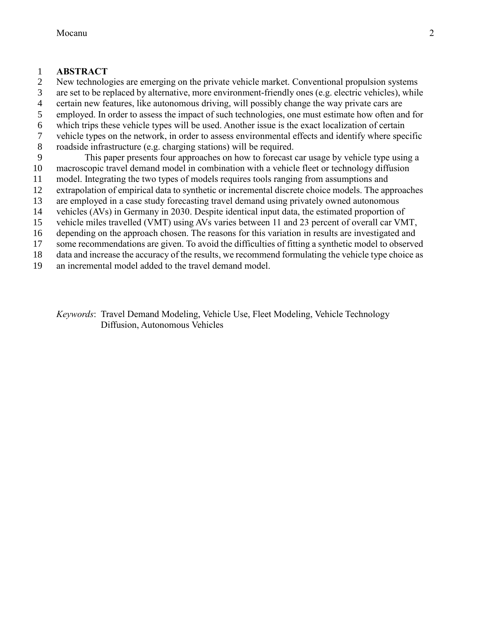#### **ABSTRACT**

- New technologies are emerging on the private vehicle market. Conventional propulsion systems
- are set to be replaced by alternative, more environment-friendly ones (e.g. electric vehicles), while
- certain new features, like autonomous driving, will possibly change the way private cars are
- employed. In order to assess the impact of such technologies, one must estimate how often and for
- which trips these vehicle types will be used. Another issue is the exact localization of certain
- vehicle types on the network, in order to assess environmental effects and identify where specific
- roadside infrastructure (e.g. charging stations) will be required.
- This paper presents four approaches on how to forecast car usage by vehicle type using a macroscopic travel demand model in combination with a vehicle fleet or technology diffusion
- model. Integrating the two types of models requires tools ranging from assumptions and
- extrapolation of empirical data to synthetic or incremental discrete choice models. The approaches
- are employed in a case study forecasting travel demand using privately owned autonomous
- vehicles (AVs) in Germany in 2030. Despite identical input data, the estimated proportion of
- vehicle miles travelled (VMT) using AVs varies between 11 and 23 percent of overall car VMT,
- depending on the approach chosen. The reasons for this variation in results are investigated and
- some recommendations are given. To avoid the difficulties of fitting a synthetic model to observed
- data and increase the accuracy of the results, we recommend formulating the vehicle type choice as
- an incremental model added to the travel demand model.

*Keywords*: Travel Demand Modeling, Vehicle Use, Fleet Modeling, Vehicle Technology Diffusion, Autonomous Vehicles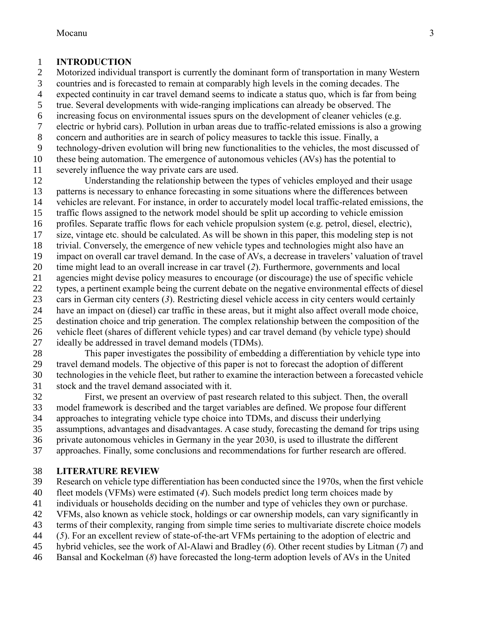### **INTRODUCTION**

Motorized individual transport is currently the dominant form of transportation in many Western

countries and is forecasted to remain at comparably high levels in the coming decades. The

 expected continuity in car travel demand seems to indicate a status quo, which is far from being true. Several developments with wide-ranging implications can already be observed. The

increasing focus on environmental issues spurs on the development of cleaner vehicles (e.g.

electric or hybrid cars). Pollution in urban areas due to traffic-related emissions is also a growing

concern and authorities are in search of policy measures to tackle this issue. Finally, a

technology-driven evolution will bring new functionalities to the vehicles, the most discussed of

these being automation. The emergence of autonomous vehicles (AVs) has the potential to

severely influence the way private cars are used.

 Understanding the relationship between the types of vehicles employed and their usage patterns is necessary to enhance forecasting in some situations where the differences between vehicles are relevant. For instance, in order to accurately model local traffic-related emissions, the traffic flows assigned to the network model should be split up according to vehicle emission profiles. Separate traffic flows for each vehicle propulsion system (e.g. petrol, diesel, electric), size, vintage etc. should be calculated. As will be shown in this paper, this modeling step is not trivial. Conversely, the emergence of new vehicle types and technologies might also have an impact on overall car travel demand. In the case of AVs, a decrease in travelers' valuation of travel time might lead to an overall increase in car travel (*[2](#page-15-0)*). Furthermore, governments and local agencies might devise policy measures to encourage (or discourage) the use of specific vehicle types, a pertinent example being the current debate on the negative environmental effects of diesel cars in German city centers (*[3](#page-15-1)*). Restricting diesel vehicle access in city centers would certainly have an impact on (diesel) car traffic in these areas, but it might also affect overall mode choice, destination choice and trip generation. The complex relationship between the composition of the vehicle fleet (shares of different vehicle types) and car travel demand (by vehicle type) should ideally be addressed in travel demand models (TDMs).

 This paper investigates the possibility of embedding a differentiation by vehicle type into travel demand models. The objective of this paper is not to forecast the adoption of different technologies in the vehicle fleet, but rather to examine the interaction between a forecasted vehicle stock and the travel demand associated with it.

 First, we present an overview of past research related to this subject. Then, the overall model framework is described and the target variables are defined. We propose four different approaches to integrating vehicle type choice into TDMs, and discuss their underlying

assumptions, advantages and disadvantages. A case study, forecasting the demand for trips using

private autonomous vehicles in Germany in the year 2030, is used to illustrate the different

approaches. Finally, some conclusions and recommendations for further research are offered.

## **LITERATURE REVIEW**

Research on vehicle type differentiation has been conducted since the 1970s, when the first vehicle

fleet models (VFMs) were estimated (*[4](#page-15-2)*). Such models predict long term choices made by

individuals or households deciding on the number and type of vehicles they own or purchase.

- VFMs, also known as vehicle stock, holdings or car ownership models, can vary significantly in
- terms of their complexity, ranging from simple time series to multivariate discrete choice models
- (*[5](#page-15-3)*). For an excellent review of state-of-the-art VFMs pertaining to the adoption of electric and
- hybrid vehicles, see the work of Al-Alawi and Bradley (*[6](#page-15-4)*). Other recent studies by Litman (*[7](#page-15-5)*) and
- Bansal and Kockelman (*[8](#page-15-6)*) have forecasted the long-term adoption levels of AVs in the United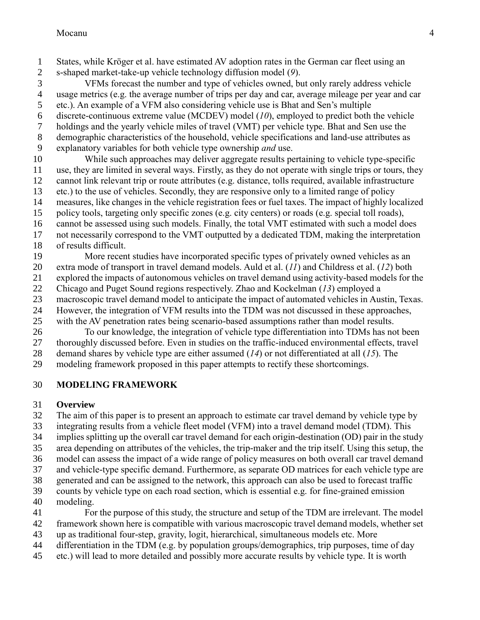States, while Kröger et al. have estimated AV adoption rates in the German car fleet using an s-shaped market-take-up vehicle technology diffusion model (*[9](#page-15-7)*).

 VFMs forecast the number and type of vehicles owned, but only rarely address vehicle usage metrics (e.g. the average number of trips per day and car, average mileage per year and car etc.). An example of a VFM also considering vehicle use is Bhat and Sen's multiple discrete-continuous extreme value (MCDEV) model (*[10](#page-15-8)*), employed to predict both the vehicle holdings and the yearly vehicle miles of travel (VMT) per vehicle type. Bhat and Sen use the demographic characteristics of the household, vehicle specifications and land-use attributes as

explanatory variables for both vehicle type ownership *and* use.

 While such approaches may deliver aggregate results pertaining to vehicle type-specific use, they are limited in several ways. Firstly, as they do not operate with single trips or tours, they cannot link relevant trip or route attributes (e.g. distance, tolls required, available infrastructure etc.) to the use of vehicles. Secondly, they are responsive only to a limited range of policy measures, like changes in the vehicle registration fees or fuel taxes. The impact of highly localized policy tools, targeting only specific zones (e.g. city centers) or roads (e.g. special toll roads),

 cannot be assessed using such models. Finally, the total VMT estimated with such a model does not necessarily correspond to the VMT outputted by a dedicated TDM, making the interpretation of results difficult.

More recent studies have incorporated specific types of privately owned vehicles as an

extra mode of transport in travel demand models. Auld et al. (*[11](#page-15-9)*) and Childress et al. (*[12](#page-15-10)*) both

 explored the impacts of autonomous vehicles on travel demand using activity-based models for the Chicago and Puget Sound regions respectively. Zhao and Kockelman (*[13](#page-15-11)*) employed a

macroscopic travel demand model to anticipate the impact of automated vehicles in Austin, Texas.

However, the integration of VFM results into the TDM was not discussed in these approaches,

with the AV penetration rates being scenario-based assumptions rather than model results.

To our knowledge, the integration of vehicle type differentiation into TDMs has not been

thoroughly discussed before. Even in studies on the traffic-induced environmental effects, travel

demand shares by vehicle type are either assumed (*[14](#page-15-12)*) or not differentiated at all (*[15](#page-15-13)*). The

modeling framework proposed in this paper attempts to rectify these shortcomings.

# **MODELING FRAMEWORK**

# **Overview**

 The aim of this paper is to present an approach to estimate car travel demand by vehicle type by integrating results from a vehicle fleet model (VFM) into a travel demand model (TDM). This implies splitting up the overall car travel demand for each origin-destination (OD) pair in the study area depending on attributes of the vehicles, the trip-maker and the trip itself. Using this setup, the model can assess the impact of a wide range of policy measures on both overall car travel demand and vehicle-type specific demand. Furthermore, as separate OD matrices for each vehicle type are

generated and can be assigned to the network, this approach can also be used to forecast traffic

 counts by vehicle type on each road section, which is essential e.g. for fine-grained emission modeling.

 For the purpose of this study, the structure and setup of the TDM are irrelevant. The model framework shown here is compatible with various macroscopic travel demand models, whether set

up as traditional four-step, gravity, logit, hierarchical, simultaneous models etc. More

- differentiation in the TDM (e.g. by population groups/demographics, trip purposes, time of day
- etc.) will lead to more detailed and possibly more accurate results by vehicle type. It is worth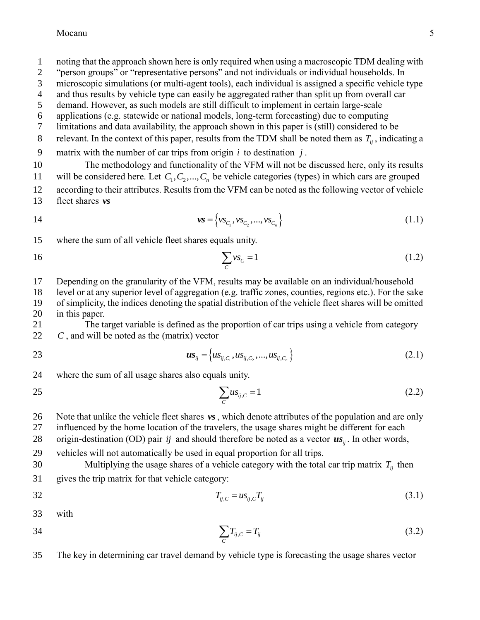- 1 noting that the approach shown here is only required when using a macroscopic TDM dealing with
- 2 "person groups" or "representative persons" and not individuals or individual households. In
- 3 microscopic simulations (or multi-agent tools), each individual is assigned a specific vehicle type
- 4 and thus results by vehicle type can easily be aggregated rather than split up from overall car 5 demand. However, as such models are still difficult to implement in certain large-scale
- 6 applications (e.g. statewide or national models, long-term forecasting) due to computing
- 7 limitations and data availability, the approach shown in this paper is (still) considered to be
- 8 relevant. In the context of this paper, results from the TDM shall be noted them as  $T_{ij}$ , indicating a
- 9 matrix with the number of car trips from origin *i* to destination *j* .
- 10 The methodology and functionality of the VFM will not be discussed here, only its results 11 will be considered here. Let  $C_1, C_2, ..., C_n$  be vehicle categories (types) in which cars are grouped
- 12 according to their attributes. Results from the VFM can be noted as the following vector of vehicle 13 fleet shares *vs*
- 14  $\mathbf{v} = \left\{ v s_{C_1}, v s_{C_2}, ..., v s_{C_n} \right\}$

15 where the sum of all vehicle fleet shares equals unity.

16

25

$$
\sum_{C} \nu s_C = 1\tag{1.2}
$$

- 17 Depending on the granularity of the VFM, results may be available on an individual/household
- 18 level or at any superior level of aggregation (e.g. traffic zones, counties, regions etc.). For the sake 19 of simplicity, the indices denoting the spatial distribution of the vehicle fleet shares will be omitted 20 in this paper.

21 The target variable is defined as the proportion of car trips using a vehicle from category 22 *C* , and will be noted as the (matrix) vector

23 
$$
\boldsymbol{u}\boldsymbol{s}_{ij} = \left\{ u s_{ij, C_1}, u s_{ij, C_2}, ..., u s_{ij, C_n} \right\}
$$
 (2.1)

24 where the sum of all usage shares also equals unity.

$$
\sum_{c} u s_{ij,c} = 1 \tag{2.2}
$$

26 Note that unlike the vehicle fleet shares *vs* , which denote attributes of the population and are only

27 influenced by the home location of the travelers, the usage shares might be different for each

28 origin-destination (OD) pair *ij* and should therefore be noted as a vector  $us_{ij}$ . In other words,

29 vehicles will not automatically be used in equal proportion for all trips.

30 Multiplying the usage shares of a vehicle category with the total car trip matrix  $T_{ij}$  then 31 gives the trip matrix for that vehicle category:

> $T_{ij,C} = u s_{ij,C} T_{ij}$ (3.1)

- 33 with
- 34

32

$$
\sum_{C} T_{ij,C} = T_{ij} \tag{3.2}
$$

35 The key in determining car travel demand by vehicle type is forecasting the usage shares vector

(1.1)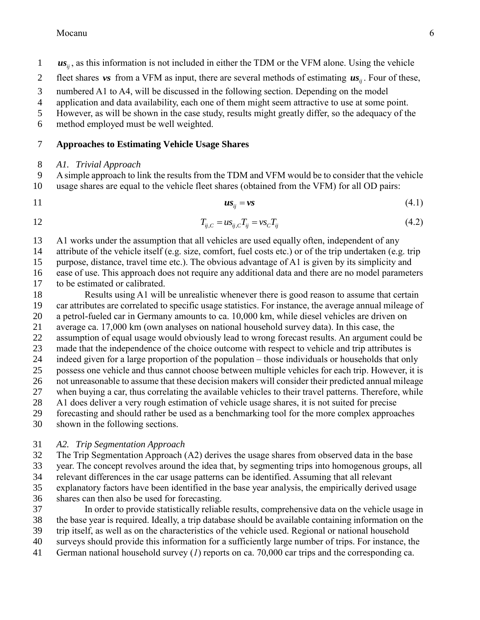- *us<sub>ij</sub>*, as this information is not included in either the TDM or the VFM alone. Using the vehicle
- 2 fleet shares *vs* from a VFM as input, there are several methods of estimating  $us_{ij}$ . Four of these,
- numbered A1 to A4, will be discussed in the following section. Depending on the model
- application and data availability, each one of them might seem attractive to use at some point.
- However, as will be shown in the case study, results might greatly differ, so the adequacy of the
- method employed must be well weighted.

#### **Approaches to Estimating Vehicle Usage Shares**

#### *A1. Trivial Approach*

- A simple approach to link the results from the TDM and VFM would be to consider that the vehicle usage shares are equal to the vehicle fleet shares (obtained from the VFM) for all OD pairs:
- $us_{ij} = vs$ (4.1)

12 
$$
T_{ij,C} = u s_{ij,C} T_{ij} = v s_C T_{ij}
$$
 (4.2)

A1 works under the assumption that all vehicles are used equally often, independent of any

attribute of the vehicle itself (e.g. size, comfort, fuel costs etc.) or of the trip undertaken (e.g. trip

- purpose, distance, travel time etc.). The obvious advantage of A1 is given by its simplicity and ease of use. This approach does not require any additional data and there are no model parameters
- to be estimated or calibrated.
- Results using A1 will be unrealistic whenever there is good reason to assume that certain car attributes are correlated to specific usage statistics. For instance, the average annual mileage of
- a petrol-fueled car in Germany amounts to ca. 10,000 km, while diesel vehicles are driven on
- average ca. 17,000 km (own analyses on national household survey data). In this case, the
- assumption of equal usage would obviously lead to wrong forecast results. An argument could be
- made that the independence of the choice outcome with respect to vehicle and trip attributes is
- indeed given for a large proportion of the population those individuals or households that only
- possess one vehicle and thus cannot choose between multiple vehicles for each trip. However, it is not unreasonable to assume that these decision makers will consider their predicted annual mileage
- when buying a car, thus correlating the available vehicles to their travel patterns. Therefore, while
- A1 does deliver a very rough estimation of vehicle usage shares, it is not suited for precise
- forecasting and should rather be used as a benchmarking tool for the more complex approaches
- shown in the following sections.

### *A2. Trip Segmentation Approach*

The Trip Segmentation Approach (A2) derives the usage shares from observed data in the base

year. The concept revolves around the idea that, by segmenting trips into homogenous groups, all

relevant differences in the car usage patterns can be identified. Assuming that all relevant

- explanatory factors have been identified in the base year analysis, the empirically derived usage
- shares can then also be used for forecasting.
- In order to provide statistically reliable results, comprehensive data on the vehicle usage in
- the base year is required. Ideally, a trip database should be available containing information on the
- trip itself, as well as on the characteristics of the vehicle used. Regional or national household
- surveys should provide this information for a sufficiently large number of trips. For instance, the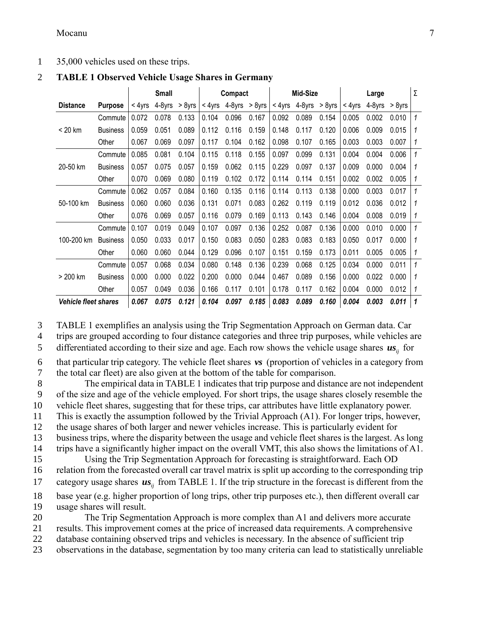Mocanu 7

#### 1 35,000 vehicles used on these trips.

#### 2 **TABLE 1 Observed Vehicle Usage Shares in Germany**

|                             |                 |        | <b>Small</b> |        | Compact |        | Mid-Size |        |        | Large  |           |        | Σ      |   |
|-----------------------------|-----------------|--------|--------------|--------|---------|--------|----------|--------|--------|--------|-----------|--------|--------|---|
| <b>Distance</b>             | <b>Purpose</b>  | < 4yrs | 4-8yrs       | > 8yrs | < 4yrs  | 4-8yrs | > 8yrs   | < 4yrs | 4-8yrs | > 8yrs | $< 4$ yrs | 4-8yrs | > 8yrs |   |
|                             | Commute         | 0.072  | 0.078        | 0.133  | 0.104   | 0.096  | 0.167    | 0.092  | 0.089  | 0.154  | 0.005     | 0.002  | 0.010  | 1 |
| < 20 km                     | <b>Business</b> | 0.059  | 0.051        | 0.089  | 0.112   | 0.116  | 0.159    | 0.148  | 0.117  | 0.120  | 0.006     | 0.009  | 0.015  | 1 |
|                             | Other           | 0.067  | 0.069        | 0.097  | 0.117   | 0.104  | 0.162    | 0.098  | 0.107  | 0.165  | 0.003     | 0.003  | 0.007  | 1 |
|                             | Commute         | 0.085  | 0.081        | 0.104  | 0.115   | 0.118  | 0.155    | 0.097  | 0.099  | 0.131  | 0.004     | 0.004  | 0.006  | 1 |
| 20-50 km                    | <b>Business</b> | 0.057  | 0.075        | 0.057  | 0.159   | 0.062  | 0.115    | 0.229  | 0.097  | 0.137  | 0.009     | 0.000  | 0.004  | 1 |
|                             | Other           | 0.070  | 0.069        | 0.080  | 0.119   | 0.102  | 0.172    | 0.114  | 0.114  | 0.151  | 0.002     | 0.002  | 0.005  | 1 |
|                             | Commute         | 0.062  | 0.057        | 0.084  | 0.160   | 0.135  | 0.116    | 0.114  | 0.113  | 0.138  | 0.000     | 0.003  | 0.017  | 1 |
| 50-100 km                   | <b>Business</b> | 0.060  | 0.060        | 0.036  | 0.131   | 0.071  | 0.083    | 0.262  | 0.119  | 0.119  | 0.012     | 0.036  | 0.012  | 1 |
|                             | Other           | 0.076  | 0.069        | 0.057  | 0.116   | 0.079  | 0.169    | 0.113  | 0.143  | 0.146  | 0.004     | 0.008  | 0.019  | 1 |
|                             | Commute         | 0.107  | 0.019        | 0.049  | 0.107   | 0.097  | 0.136    | 0.252  | 0.087  | 0.136  | 0.000     | 0.010  | 0.000  | 1 |
| 100-200 km                  | <b>Business</b> | 0.050  | 0.033        | 0.017  | 0.150   | 0.083  | 0.050    | 0.283  | 0.083  | 0.183  | 0.050     | 0.017  | 0.000  | 1 |
|                             | Other           | 0.060  | 0.060        | 0.044  | 0.129   | 0.096  | 0.107    | 0.151  | 0.159  | 0.173  | 0.011     | 0.005  | 0.005  | 1 |
|                             | Commute         | 0.057  | 0.068        | 0.034  | 0.080   | 0.148  | 0.136    | 0.239  | 0.068  | 0.125  | 0.034     | 0.000  | 0.011  | 1 |
| > 200 km                    | <b>Business</b> | 0.000  | 0.000        | 0.022  | 0.200   | 0.000  | 0.044    | 0.467  | 0.089  | 0.156  | 0.000     | 0.022  | 0.000  | 1 |
|                             | Other           | 0.057  | 0.049        | 0.036  | 0.166   | 0.117  | 0.101    | 0.178  | 0.117  | 0.162  | 0.004     | 0.000  | 0.012  | 1 |
| <b>Vehicle fleet shares</b> |                 | 0.067  | 0.075        | 0.121  | 0.104   | 0.097  | 0.185    | 0.083  | 0.089  | 0.160  | 0.004     | 0.003  | 0.011  | 1 |

3 TABLE 1 exemplifies an analysis using the Trip Segmentation Approach on German data. Car 4 trips are grouped according to four distance categories and three trip purposes, while vehicles are

5 differentiated according to their size and age. Each row shows the vehicle usage shares  $\boldsymbol{u}$ <sub>*ij*</sub> for

6 that particular trip category. The vehicle fleet shares *vs* (proportion of vehicles in a category from 7 the total car fleet) are also given at the bottom of the table for comparison.

8 The empirical data in TABLE 1 indicates that trip purpose and distance are not independent 9 of the size and age of the vehicle employed. For short trips, the usage shares closely resemble the 10 vehicle fleet shares, suggesting that for these trips, car attributes have little explanatory power.

11 This is exactly the assumption followed by the Trivial Approach (A1). For longer trips, however,

12 the usage shares of both larger and newer vehicles increase. This is particularly evident for

13 business trips, where the disparity between the usage and vehicle fleet shares is the largest. As long 14 trips have a significantly higher impact on the overall VMT, this also shows the limitations of A1.

 Using the Trip Segmentation Approach for forecasting is straightforward. Each OD relation from the forecasted overall car travel matrix is split up according to the corresponding trip 17 category usage shares  $\boldsymbol{u} s_{ij}$  from TABLE 1. If the trip structure in the forecast is different from the base year (e.g. higher proportion of long trips, other trip purposes etc.), then different overall car usage shares will result.

20 The Trip Segmentation Approach is more complex than A1 and delivers more accurate 21 results. This improvement comes at the price of increased data requirements. A comprehensive 22 database containing observed trips and vehicles is necessary. In the absence of sufficient trip

23 observations in the database, segmentation by too many criteria can lead to statistically unreliable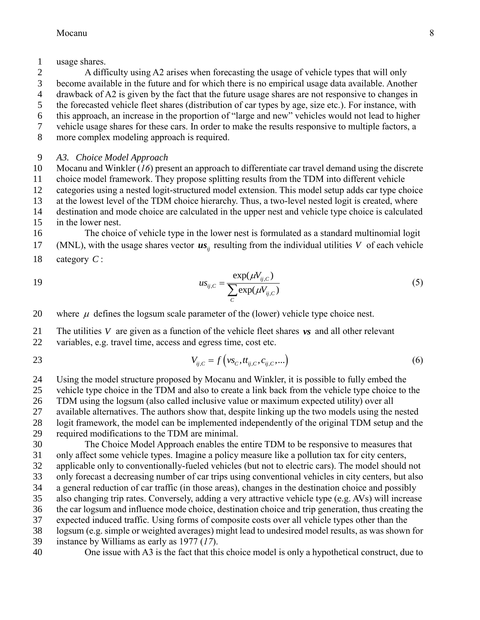usage shares.

A difficulty using A2 arises when forecasting the usage of vehicle types that will only

become available in the future and for which there is no empirical usage data available. Another

drawback of A2 is given by the fact that the future usage shares are not responsive to changes in

 the forecasted vehicle fleet shares (distribution of car types by age, size etc.). For instance, with this approach, an increase in the proportion of "large and new" vehicles would not lead to higher

vehicle usage shares for these cars. In order to make the results responsive to multiple factors, a

more complex modeling approach is required.

### *A3. Choice Model Approach*

 Mocanu and Winkler (*[16](#page-15-15)*) present an approach to differentiate car travel demand using the discrete choice model framework. They propose splitting results from the TDM into different vehicle

categories using a nested logit-structured model extension. This model setup adds car type choice

- at the lowest level of the TDM choice hierarchy. Thus, a two-level nested logit is created, where
- destination and mode choice are calculated in the upper nest and vehicle type choice is calculated in the lower nest.
- The choice of vehicle type in the lower nest is formulated as a standard multinomial logit 17 (MNL), with the usage shares vector  $\mathbf{u} s_{ij}$  resulting from the individual utilities V of each vehicle
- category *C* :

$$
19 \\
$$

19 
$$
u_{ij,C} = \frac{\exp(\mu V_{ij,C})}{\sum_{C} \exp(\mu V_{ij,C})}
$$
 (5)

20 where  $\mu$  defines the logsum scale parameter of the (lower) vehicle type choice nest.

- The utilities *V* are given as a function of the vehicle fleet shares *vs* and all other relevant
- variables, e.g. travel time, access and egress time, cost etc.
- 

$$
V_{ij,C} = f(v_sC, tt_{ij,C}, c_{ij,C},...)
$$
\n
$$
(6)
$$

Using the model structure proposed by Mocanu and Winkler, it is possible to fully embed the

vehicle type choice in the TDM and also to create a link back from the vehicle type choice to the

TDM using the logsum (also called inclusive value or maximum expected utility) over all

 available alternatives. The authors show that, despite linking up the two models using the nested logit framework, the model can be implemented independently of the original TDM setup and the required modifications to the TDM are minimal.

 The Choice Model Approach enables the entire TDM to be responsive to measures that only affect some vehicle types. Imagine a policy measure like a pollution tax for city centers, applicable only to conventionally-fueled vehicles (but not to electric cars). The model should not only forecast a decreasing number of car trips using conventional vehicles in city centers, but also a general reduction of car traffic (in those areas), changes in the destination choice and possibly also changing trip rates. Conversely, adding a very attractive vehicle type (e.g. AVs) will increase the car logsum and influence mode choice, destination choice and trip generation, thus creating the expected induced traffic. Using forms of composite costs over all vehicle types other than the logsum (e.g. simple or weighted averages) might lead to undesired model results, as was shown for

- instance by Williams as early as 1977 (*[17](#page-16-0)*).
- One issue with A3 is the fact that this choice model is only a hypothetical construct, due to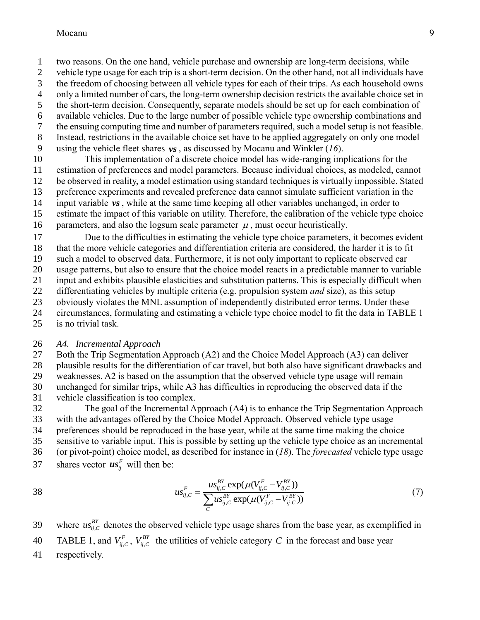#### Mocanu 9

two reasons. On the one hand, vehicle purchase and ownership are long-term decisions, while

vehicle type usage for each trip is a short-term decision. On the other hand, not all individuals have

the freedom of choosing between all vehicle types for each of their trips. As each household owns

 only a limited number of cars, the long-term ownership decision restricts the available choice set in the short-term decision. Consequently, separate models should be set up for each combination of

available vehicles. Due to the large number of possible vehicle type ownership combinations and

the ensuing computing time and number of parameters required, such a model setup is not feasible.

Instead, restrictions in the available choice set have to be applied aggregately on only one model

using the vehicle fleet shares *vs* , as discussed by Mocanu and Winkler (*[16](#page-15-15)*).

 This implementation of a discrete choice model has wide-ranging implications for the estimation of preferences and model parameters. Because individual choices, as modeled, cannot be observed in reality, a model estimation using standard techniques is virtually impossible. Stated preference experiments and revealed preference data cannot simulate sufficient variation in the input variable *vs* , while at the same time keeping all other variables unchanged, in order to estimate the impact of this variable on utility. Therefore, the calibration of the vehicle type choice 16 parameters, and also the logsum scale parameter  $\mu$ , must occur heuristically.

 Due to the difficulties in estimating the vehicle type choice parameters, it becomes evident that the more vehicle categories and differentiation criteria are considered, the harder it is to fit such a model to observed data. Furthermore, it is not only important to replicate observed car

usage patterns, but also to ensure that the choice model reacts in a predictable manner to variable

input and exhibits plausible elasticities and substitution patterns. This is especially difficult when

differentiating vehicles by multiple criteria (e.g. propulsion system *and* size), as this setup

obviously violates the MNL assumption of independently distributed error terms. Under these

circumstances, formulating and estimating a vehicle type choice model to fit the data in TABLE 1

is no trivial task.

#### *A4. Incremental Approach*

 Both the Trip Segmentation Approach (A2) and the Choice Model Approach (A3) can deliver plausible results for the differentiation of car travel, but both also have significant drawbacks and weaknesses. A2 is based on the assumption that the observed vehicle type usage will remain unchanged for similar trips, while A3 has difficulties in reproducing the observed data if the vehicle classification is too complex.

 The goal of the Incremental Approach (A4) is to enhance the Trip Segmentation Approach with the advantages offered by the Choice Model Approach. Observed vehicle type usage preferences should be reproduced in the base year, while at the same time making the choice sensitive to variable input. This is possible by setting up the vehicle type choice as an incremental (or pivot-point) choice model, as described for instance in (*[18](#page-16-1)*). The *forecasted* vehicle type usage shares vector  $\boldsymbol{u} s_{ij}^F$  will then be: 

38 
$$
us_{ij,C}^{F} = \frac{us_{ij,C}^{BY} \exp(\mu(V_{ij,C}^{F} - V_{ij,C}^{BY}))}{\sum_{C} us_{ij,C}^{BY} \exp(\mu(V_{ij,C}^{F} - V_{ij,C}^{BY}))}
$$
(7)

where  $us_{ij}^B$ , *BY*  $us_{ij,c}^{BY}$  denotes the observed vehicle type usage shares from the base year, as exemplified in 

40 TABLE 1, and  $V_{ij,C}^F$ ,  $V_{ij,C}^{BY}$  the utilities of vehicle category C in the forecast and base year

respectively.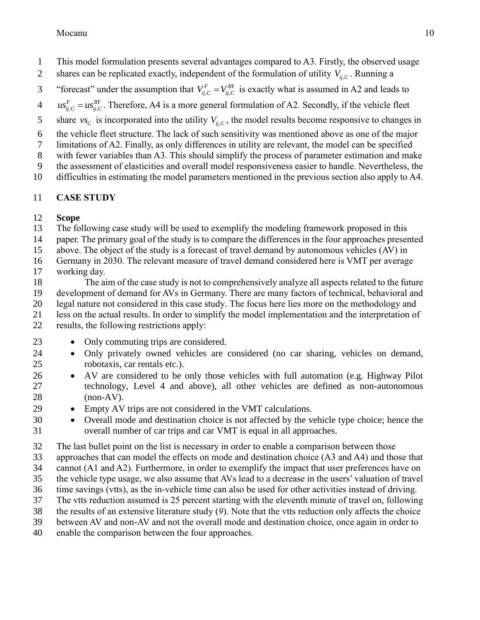- This model formulation presents several advantages compared to A3. Firstly, the observed usage
- shares can be replicated exactly, independent of the formulation of utility  $V_{ij,C}$ . Running a
- "forecast" under the assumption that  $V_{ij,C}^F = V_{ij,D}^B$  $V_{ij,C}^F = V_{ij,C}^{BY}$  is exactly what is assumed in A2 and leads to

 $C = \omega_{ij}$  $F = \mu \epsilon^{\beta Y}$  $us_{ij,C}^F = us_{ij,C}^{BY}$ . Therefore, A4 is a more general formulation of A2. Secondly, if the vehicle fleet 

5 share  $vs_c$  is incorporated into the utility  $V_{ij,c}$ , the model results become responsive to changes in

the vehicle fleet structure. The lack of such sensitivity was mentioned above as one of the major

limitations of A2. Finally, as only differences in utility are relevant, the model can be specified

with fewer variables than A3. This should simplify the process of parameter estimation and make

the assessment of elasticities and overall model responsiveness easier to handle. Nevertheless, the

difficulties in estimating the model parameters mentioned in the previous section also apply to A4.

# **CASE STUDY**

# **Scope**

- The following case study will be used to exemplify the modeling framework proposed in this
- paper. The primary goal of the study is to compare the differences in the four approaches presented
- above. The object of the study is a forecast of travel demand by autonomous vehicles (AV) in

 Germany in 2030. The relevant measure of travel demand considered here is VMT per average working day.

 The aim of the case study is not to comprehensively analyze all aspects related to the future development of demand for AVs in Germany. There are many factors of technical, behavioral and

- legal nature not considered in this case study. The focus here lies more on the methodology and
- less on the actual results. In order to simplify the model implementation and the interpretation of

results, the following restrictions apply:

- 23 Only commuting trips are considered.
- Only privately owned vehicles are considered (no car sharing, vehicles on demand, robotaxis, car rentals etc.).
- 26 AV are considered to be only those vehicles with full automation (e.g. Highway Pilot technology, Level 4 and above), all other vehicles are defined as non-autonomous (non-AV).
- Empty AV trips are not considered in the VMT calculations.
- 30 Overall mode and destination choice is not affected by the vehicle type choice; hence the overall number of car trips and car VMT is equal in all approaches.
- The last bullet point on the list is necessary in order to enable a comparison between those
- approaches that can model the effects on mode and destination choice (A3 and A4) and those that
- cannot (A1 and A2). Furthermore, in order to exemplify the impact that user preferences have on
- the vehicle type usage, we also assume that AVs lead to a decrease in the users' valuation of travel
- time savings (vtts), as the in-vehicle time can also be used for other activities instead of driving.
- The vtts reduction assumed is 25 percent starting with the eleventh minute of travel on, following
- the results of an extensive literature study (*[9](#page-15-7)*). Note that the vtts reduction only affects the choice
- between AV and non-AV and not the overall mode and destination choice, once again in order to
- enable the comparison between the four approaches.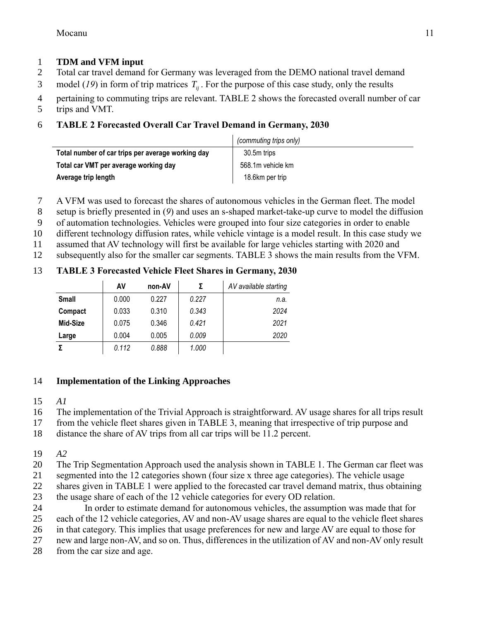## **TDM and VFM input**

- Total car travel demand for Germany was leveraged from the DEMO national travel demand
- 3 model ([19](#page-16-2)) in form of trip matrices  $T_{ij}$ . For the purpose of this case study, only the results
- pertaining to commuting trips are relevant. TABLE 2 shows the forecasted overall number of car
- trips and VMT.

# **TABLE 2 Forecasted Overall Car Travel Demand in Germany, 2030**

|                                                   | (commuting trips only) |
|---------------------------------------------------|------------------------|
| Total number of car trips per average working day | 30.5m trips            |
| Total car VMT per average working day             | 568.1m vehicle km      |
| Average trip length                               | 18.6km per trip        |

- A VFM was used to forecast the shares of autonomous vehicles in the German fleet. The model
- setup is briefly presented in (*[9](#page-15-7)*) and uses an s-shaped market-take-up curve to model the diffusion
- of automation technologies. Vehicles were grouped into four size categories in order to enable
- different technology diffusion rates, while vehicle vintage is a model result. In this case study we
- assumed that AV technology will first be available for large vehicles starting with 2020 and
- subsequently also for the smaller car segments. TABLE 3 shows the main results from the VFM.

# **TABLE 3 Forecasted Vehicle Fleet Shares in Germany, 2030**

|              | AV    | non-AV | Σ     | AV available starting |
|--------------|-------|--------|-------|-----------------------|
| <b>Small</b> | 0.000 | 0.227  | 0.227 | n.a.                  |
| Compact      | 0.033 | 0.310  | 0.343 | 2024                  |
| Mid-Size     | 0.075 | 0.346  | 0.421 | 2021                  |
| Large        | 0.004 | 0.005  | 0.009 | 2020                  |
|              | 0.112 | 0.888  | 1.000 |                       |

# **Implementation of the Linking Approaches**

## *A1*

The implementation of the Trivial Approach is straightforward. AV usage shares for all trips result

- from the vehicle fleet shares given in TABLE 3, meaning that irrespective of trip purpose and
- distance the share of AV trips from all car trips will be 11.2 percent.
- *A2*
- The Trip Segmentation Approach used the analysis shown in TABLE 1. The German car fleet was
- segmented into the 12 categories shown (four size x three age categories). The vehicle usage
- shares given in TABLE 1 were applied to the forecasted car travel demand matrix, thus obtaining
- the usage share of each of the 12 vehicle categories for every OD relation.
- In order to estimate demand for autonomous vehicles, the assumption was made that for
- each of the 12 vehicle categories, AV and non-AV usage shares are equal to the vehicle fleet shares
- in that category. This implies that usage preferences for new and large AV are equal to those for
- new and large non-AV, and so on. Thus, differences in the utilization of AV and non-AV only result
- from the car size and age.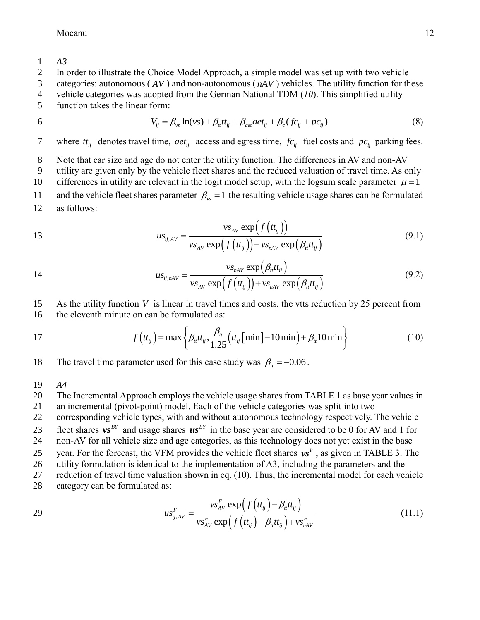1 *A3*

2 In order to illustrate the Choice Model Approach, a simple model was set up with two vehicle

3 categories: autonomous ( *AV* ) and non-autonomous ( *nAV* ) vehicles. The utility function for these

4 vehicle categories was adopted from the German National TDM (*10*). This simplified utility

- 5 function takes the linear form:
- 6

form:  
\n
$$
V_{ij} = \beta_{vs} \ln(vs) + \beta_{nt} t_{ij} + \beta_{\text{net}} a e t_{ij} + \beta_c (f c_{ij} + p c_{ij})
$$
\n(8)

where  $tt_{ij}$  denotes travel time,  $aet_{ij}$  access and egress time,  $fc_{ij}$  fuel costs and  $pc_{ij}$  parking fees. 7

8 Note that car size and age do not enter the utility function. The differences in AV and non-AV

9 utility are given only by the vehicle fleet shares and the reduced valuation of travel time. As only

10 differences in utility are relevant in the logit model setup, with the logsum scale parameter  $\mu = 1$ 

and the vehicle fleet shares parameter  $\beta_{vs} = 1$  the resulting vehicle usage shares can be formulated 11 12 as follows:

12 as follows:  
\n
$$
us_{ij,AV} = \frac{vs_{AV} \exp\left(f\left(t t_{ij}\right)\right)}{vs_{AV} \exp\left(f\left(t t_{ij}\right)\right) + vs_{nAV} \exp\left(\beta_{n} t t_{ij}\right)}
$$
\n(9.1)

$$
us_{ij,nAV} = \frac{vs_{nAV} \exp(\beta_n t t_{ij})}{vs_{AV} \exp(f(t_{ij})) + vs_{nAV} \exp(\beta_n t t_{ij})}
$$
(9.2)

15 As the utility function *V* is linear in travel times and costs, the vtts reduction by 25 percent from

As the during function *v* is linear in factor times and costs, the vits reduction by 23 percent from  
the eleventh minute on can be formulated as:  

$$
f(t_{ij}) = \max \left\{ \beta_{ii} t_{ij}, \frac{\beta_{ii}}{1.25} (t_{ij} [\text{min}] - 10 \text{min}) + \beta_{ii} 10 \text{min} \right\}
$$
(10)

The travel time parameter used for this case study was  $\beta_n = -0.06$ . 18

19 *A4*

20 The Incremental Approach employs the vehicle usage shares from TABLE 1 as base year values in

21 an incremental (pivot-point) model. Each of the vehicle categories was split into two

22 corresponding vehicle types, with and without autonomous technology respectively. The vehicle

fleet shares  $\boldsymbol{v} s^{BY}$  and usage shares  $\boldsymbol{u} s^{BY}$  in the base year are considered to be 0 for AV and 1 for 23

24 non-AV for all vehicle size and age categories, as this technology does not yet exist in the base

year. For the forecast, the VFM provides the vehicle fleet shares  $\boldsymbol{v} \boldsymbol{s}^F$ , as given in TABLE 3. The 25

26 utility formulation is identical to the implementation of A3, including the parameters and the

27 reduction of travel time valuation shown in eq. (10). Thus, the incremental model for each vehicle

28 category can be formulated as:

29   
20   
 
$$
us_{ij,AV}^{F} = \frac{vs_{AV}^{F} \exp\left(f\left(t t_{ij}\right) - \beta_{it} t t_{ij}\right)}{vs_{AV}^{F} \exp\left(f\left(t t_{ij}\right) - \beta_{it} t t_{ij}\right) + vs_{nAV}^{F}}
$$
(11.1)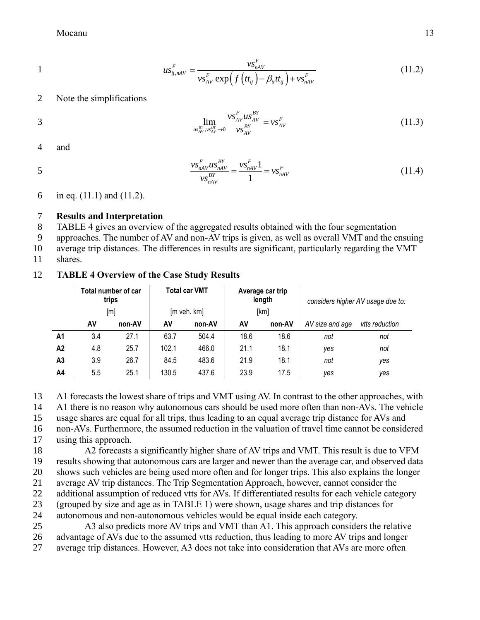Mocanu 13

 $\sum_{N=1}^{nAV} \frac{1}{N} \exp\left(f\left(t t_{ij}\right) - \beta_{tt} t t_{ij}\right).$  $F_{ij,nAV} = \frac{vs_{nAV}^F}{vs^F \exp\left(f\left(tt\right) - \beta t t\right) + vs^F}$  $_{AV}^{F} \exp\left(f\left(t t_{ij}\right) - \beta_{tt} t t_{ij}\right) + v s_{nAV}^{F}$ 1  $us_{ij, nAV}^F = \frac{vs_{nAV}^F}{vs_{AV}^F \exp\left(f\left(t t_{ij}\right) - \beta_{tt} t t_{ij}\right) + vs_{nAV}^F}$  (11.2)

2 Note the simplifications

$$
\overline{3}
$$

5

$$
\lim_{\substack{u s_N^{\text{BY}} \to 0 \\ u s_{AV}^{\text{BY}}} \to 0} \frac{\nu s_{AV}^F u s_{AV}^{\text{BY}}}{\nu s_{AV}^{\text{BY}}} = \nu s_{AV}^F
$$
\n(11.3)

4 and

1 1  $F = \mu \mathbf{e}^{BY}$   $\mathbf{v} \mathbf{e}^F$  $\frac{\int_{nAV}^{F} US_{nAV}^{B}}{1} = \frac{VS_{nAV}^{F}}{1} = VS_{nAV}^{F}$ *nAV*  $\frac{\nu s_{\textit{mAV}}^{\textit{F}} \mu s_{\textit{mAV}}^{\textit{BY}}}{\nu s_{\textit{mAV}}^{\textit{F}}} = \frac{\nu s_{\textit{mAV}}^{\textit{F}} \cdot 1}{\nu s_{\textit{mAV}}^{\textit{F}}} = \nu s_{\textit{mAV}}^{\textit{F}}$  $\frac{\sum_{i}^{F}US_{nAV}^{BY}}{VS_{nAV}^{BY}} = \frac{VS_{nAV}^{F}1}{1} = VS_{nAV}^{I}$ (11.4)

6 in eq.  $(11.1)$  and  $(11.2)$ .

### 7 **Results and Interpretation**

- 8 TABLE 4 gives an overview of the aggregated results obtained with the four segmentation
- 9 approaches. The number of AV and non-AV trips is given, as well as overall VMT and the ensuing
- 10 average trip distances. The differences in results are significant, particularly regarding the VMT
- 11 shares.

## 12 **TABLE 4 Overview of the Case Study Results**

|                |     | Total number of car<br>trips<br>[m] | <b>Total car VMT</b><br>$[m$ veh. $km]$ |        | Average car trip<br>length<br>[km] |      |                 | considers higher AV usage due to: |
|----------------|-----|-------------------------------------|-----------------------------------------|--------|------------------------------------|------|-----------------|-----------------------------------|
|                | AV  | non-AV                              | AV                                      | non-AV | AV<br>non-AV                       |      | AV size and age | vtts reduction                    |
| A1             | 3.4 | 27.1                                | 63.7                                    | 504.4  | 18.6                               | 18.6 | not             | not                               |
| A2             | 4.8 | 25.7                                | 102.1                                   | 466.0  | 21.1                               | 18.1 | yes             | not                               |
| A <sub>3</sub> | 3.9 | 26.7                                | 84.5                                    | 483.6  | 21.9                               | 18.1 | not             | yes                               |
| A4             | 5.5 | 25.1                                | 130.5                                   | 437.6  | 23.9                               | 17.5 | ves             | yes                               |

13 A1 forecasts the lowest share of trips and VMT using AV. In contrast to the other approaches, with

- 14 A1 there is no reason why autonomous cars should be used more often than non-AVs. The vehicle
- 15 usage shares are equal for all trips, thus leading to an equal average trip distance for AVs and 16 non-AVs. Furthermore, the assumed reduction in the valuation of travel time cannot be considered
- 17 using this approach.

 A2 forecasts a significantly higher share of AV trips and VMT. This result is due to VFM results showing that autonomous cars are larger and newer than the average car, and observed data shows such vehicles are being used more often and for longer trips. This also explains the longer average AV trip distances. The Trip Segmentation Approach, however, cannot consider the

- 22 additional assumption of reduced vtts for AVs. If differentiated results for each vehicle category
- 23 (grouped by size and age as in TABLE 1) were shown, usage shares and trip distances for
- 24 autonomous and non-autonomous vehicles would be equal inside each category.

25 A3 also predicts more AV trips and VMT than A1. This approach considers the relative 26 advantage of AVs due to the assumed vtts reduction, thus leading to more AV trips and longer

27 average trip distances. However, A3 does not take into consideration that AVs are more often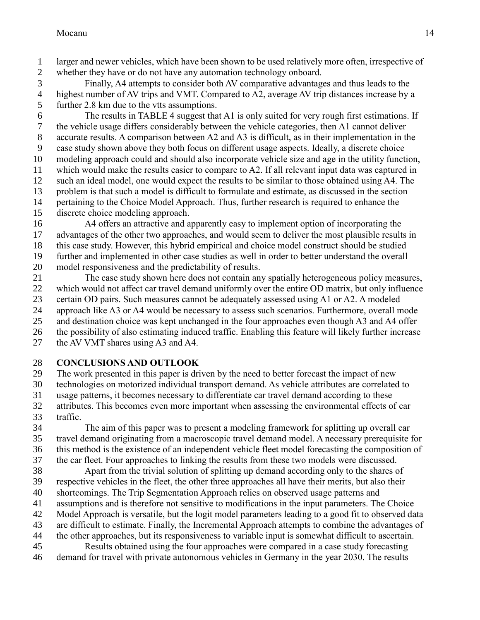larger and newer vehicles, which have been shown to be used relatively more often, irrespective of whether they have or do not have any automation technology onboard.

 Finally, A4 attempts to consider both AV comparative advantages and thus leads to the highest number of AV trips and VMT. Compared to A2, average AV trip distances increase by a further 2.8 km due to the vtts assumptions.

 The results in TABLE 4 suggest that A1 is only suited for very rough first estimations. If the vehicle usage differs considerably between the vehicle categories, then A1 cannot deliver accurate results. A comparison between A2 and A3 is difficult, as in their implementation in the case study shown above they both focus on different usage aspects. Ideally, a discrete choice modeling approach could and should also incorporate vehicle size and age in the utility function, which would make the results easier to compare to A2. If all relevant input data was captured in such an ideal model, one would expect the results to be similar to those obtained using A4. The problem is that such a model is difficult to formulate and estimate, as discussed in the section pertaining to the Choice Model Approach. Thus, further research is required to enhance the discrete choice modeling approach.

 A4 offers an attractive and apparently easy to implement option of incorporating the advantages of the other two approaches, and would seem to deliver the most plausible results in this case study. However, this hybrid empirical and choice model construct should be studied further and implemented in other case studies as well in order to better understand the overall model responsiveness and the predictability of results.

 The case study shown here does not contain any spatially heterogeneous policy measures, which would not affect car travel demand uniformly over the entire OD matrix, but only influence certain OD pairs. Such measures cannot be adequately assessed using A1 or A2. A modeled approach like A3 or A4 would be necessary to assess such scenarios. Furthermore, overall mode and destination choice was kept unchanged in the four approaches even though A3 and A4 offer the possibility of also estimating induced traffic. Enabling this feature will likely further increase

the AV VMT shares using A3 and A4.

# **CONCLUSIONS AND OUTLOOK**

The work presented in this paper is driven by the need to better forecast the impact of new

technologies on motorized individual transport demand. As vehicle attributes are correlated to

- usage patterns, it becomes necessary to differentiate car travel demand according to these
- attributes. This becomes even more important when assessing the environmental effects of car traffic.

 The aim of this paper was to present a modeling framework for splitting up overall car travel demand originating from a macroscopic travel demand model. A necessary prerequisite for this method is the existence of an independent vehicle fleet model forecasting the composition of the car fleet. Four approaches to linking the results from these two models were discussed.

- Apart from the trivial solution of splitting up demand according only to the shares of
- respective vehicles in the fleet, the other three approaches all have their merits, but also their shortcomings. The Trip Segmentation Approach relies on observed usage patterns and
- assumptions and is therefore not sensitive to modifications in the input parameters. The Choice
- Model Approach is versatile, but the logit model parameters leading to a good fit to observed data
- are difficult to estimate. Finally, the Incremental Approach attempts to combine the advantages of
- the other approaches, but its responsiveness to variable input is somewhat difficult to ascertain.
- Results obtained using the four approaches were compared in a case study forecasting demand for travel with private autonomous vehicles in Germany in the year 2030. The results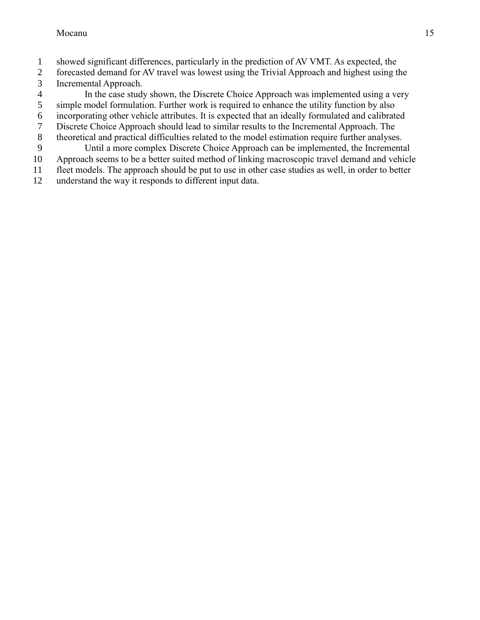- showed significant differences, particularly in the prediction of AV VMT. As expected, the
- forecasted demand for AV travel was lowest using the Trivial Approach and highest using the Incremental Approach.
- 4 In the case study shown, the Discrete Choice Approach was implemented using a very<br>5 simple model formulation. Further work is required to enhance the utility function by also
- simple model formulation. Further work is required to enhance the utility function by also
- incorporating other vehicle attributes. It is expected that an ideally formulated and calibrated
- Discrete Choice Approach should lead to similar results to the Incremental Approach. The
- theoretical and practical difficulties related to the model estimation require further analyses.
- Until a more complex Discrete Choice Approach can be implemented, the Incremental
- Approach seems to be a better suited method of linking macroscopic travel demand and vehicle fleet models. The approach should be put to use in other case studies as well, in order to better
- 
- understand the way it responds to different input data.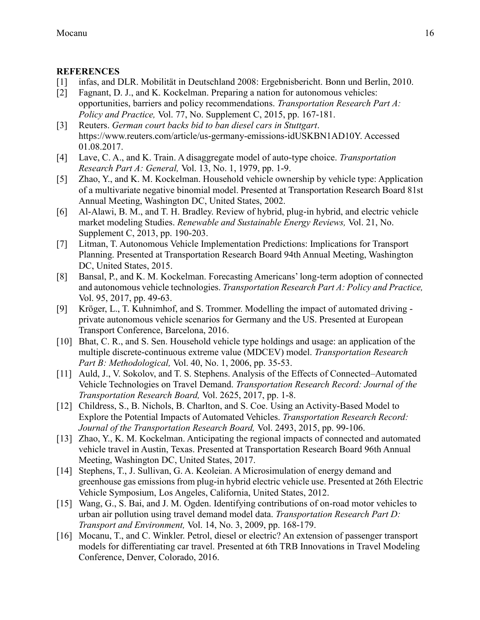### **REFERENCES**

- <span id="page-15-14"></span>[1] infas, and DLR. Mobilität in Deutschland 2008: Ergebnisbericht. Bonn und Berlin, 2010.
- <span id="page-15-0"></span>[2] Fagnant, D. J., and K. Kockelman. Preparing a nation for autonomous vehicles: opportunities, barriers and policy recommendations. *Transportation Research Part A: Policy and Practice,* Vol. 77, No. Supplement C, 2015, pp. 167-181.
- <span id="page-15-1"></span>[3] Reuters. *German court backs bid to ban diesel cars in Stuttgart*. [https://www.reuters.com/article/us-germany-emissions-idUSKBN1AD10Y.](https://www.reuters.com/article/us-germany-emissions-idUSKBN1AD10Y) Accessed 01.08.2017.
- <span id="page-15-2"></span>[4] Lave, C. A., and K. Train. A disaggregate model of auto-type choice. *Transportation Research Part A: General,* Vol. 13, No. 1, 1979, pp. 1-9.
- <span id="page-15-3"></span>[5] Zhao, Y., and K. M. Kockelman. Household vehicle ownership by vehicle type: Application of a multivariate negative binomial model. Presented at Transportation Research Board 81st Annual Meeting, Washington DC, United States, 2002.
- <span id="page-15-4"></span>[6] Al-Alawi, B. M., and T. H. Bradley. Review of hybrid, plug-in hybrid, and electric vehicle market modeling Studies. *Renewable and Sustainable Energy Reviews,* Vol. 21, No. Supplement C, 2013, pp. 190-203.
- <span id="page-15-5"></span>[7] Litman, T. Autonomous Vehicle Implementation Predictions: Implications for Transport Planning. Presented at Transportation Research Board 94th Annual Meeting, Washington DC, United States, 2015.
- <span id="page-15-6"></span>[8] Bansal, P., and K. M. Kockelman. Forecasting Americans' long-term adoption of connected and autonomous vehicle technologies. *Transportation Research Part A: Policy and Practice,*  Vol. 95, 2017, pp. 49-63.
- <span id="page-15-7"></span>[9] Kröger, L., T. Kuhnimhof, and S. Trommer. Modelling the impact of automated driving private autonomous vehicle scenarios for Germany and the US. Presented at European Transport Conference, Barcelona, 2016.
- <span id="page-15-8"></span>[10] Bhat, C. R., and S. Sen. Household vehicle type holdings and usage: an application of the multiple discrete-continuous extreme value (MDCEV) model. *Transportation Research Part B: Methodological,* Vol. 40, No. 1, 2006, pp. 35-53.
- <span id="page-15-9"></span>[11] Auld, J., V. Sokolov, and T. S. Stephens. Analysis of the Effects of Connected–Automated Vehicle Technologies on Travel Demand. *Transportation Research Record: Journal of the Transportation Research Board,* Vol. 2625, 2017, pp. 1-8.
- <span id="page-15-10"></span>[12] Childress, S., B. Nichols, B. Charlton, and S. Coe. Using an Activity-Based Model to Explore the Potential Impacts of Automated Vehicles. *Transportation Research Record: Journal of the Transportation Research Board,* Vol. 2493, 2015, pp. 99-106.
- <span id="page-15-11"></span>[13] Zhao, Y., K. M. Kockelman. Anticipating the regional impacts of connected and automated vehicle travel in Austin, Texas. Presented at Transportation Research Board 96th Annual Meeting, Washington DC, United States, 2017.
- <span id="page-15-12"></span>[14] Stephens, T., J. Sullivan, G. A. Keoleian. A Microsimulation of energy demand and greenhouse gas emissions from plug-in hybrid electric vehicle use. Presented at 26th Electric Vehicle Symposium, Los Angeles, California, United States, 2012.
- <span id="page-15-13"></span>[15] Wang, G., S. Bai, and J. M. Ogden. Identifying contributions of on-road motor vehicles to urban air pollution using travel demand model data. *Transportation Research Part D: Transport and Environment,* Vol. 14, No. 3, 2009, pp. 168-179.
- <span id="page-15-15"></span>[16] Mocanu, T., and C. Winkler. Petrol, diesel or electric? An extension of passenger transport models for differentiating car travel. Presented at 6th TRB Innovations in Travel Modeling Conference, Denver, Colorado, 2016.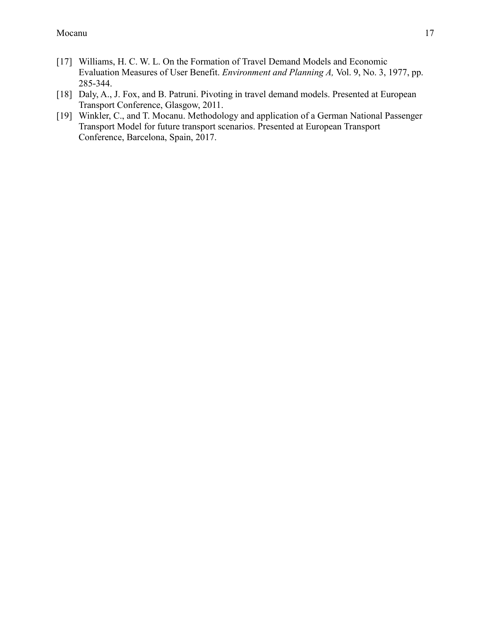- <span id="page-16-0"></span>[17] Williams, H. C. W. L. On the Formation of Travel Demand Models and Economic Evaluation Measures of User Benefit. *Environment and Planning A,* Vol. 9, No. 3, 1977, pp. 285-344.
- <span id="page-16-1"></span>[18] Daly, A., J. Fox, and B. Patruni. Pivoting in travel demand models. Presented at European Transport Conference, Glasgow, 2011.
- <span id="page-16-2"></span>[19] Winkler, C., and T. Mocanu. Methodology and application of a German National Passenger Transport Model for future transport scenarios. Presented at European Transport Conference, Barcelona, Spain, 2017.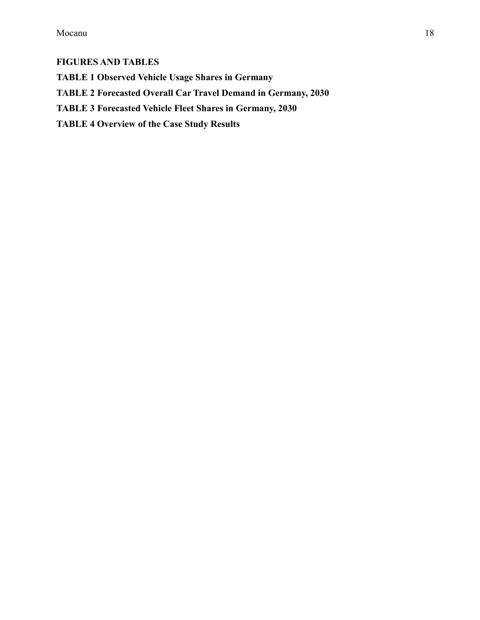# **FIGURES AND TABLES**

**TABLE 1 Observed Vehicle Usage Shares in Germany**

**TABLE 2 Forecasted Overall Car Travel Demand in Germany, 2030**

**TABLE 3 Forecasted Vehicle Fleet Shares in Germany, 2030**

**TABLE 4 Overview of the Case Study Results**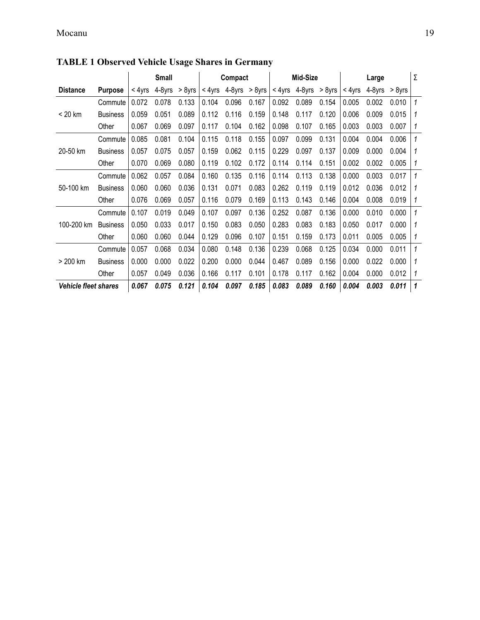|                      |                 |           | <b>Small</b> |        | Compact |                 | Mid-Size |        |        | Large     |        |        | Σ      |   |
|----------------------|-----------------|-----------|--------------|--------|---------|-----------------|----------|--------|--------|-----------|--------|--------|--------|---|
| <b>Distance</b>      | <b>Purpose</b>  | $< 4Y$ rs | 4-8yrs       | > 8yrs | < 4yrs  | $4-8yrs > 8yrs$ |          | < 4yrs | 4-8yrs | $> 8$ yrs | < 4yrs | 4-8yrs | > 8yrs |   |
|                      | Commute         | 0.072     | 0.078        | 0.133  | 0.104   | 0.096           | 0.167    | 0.092  | 0.089  | 0.154     | 0.005  | 0.002  | 0.010  | 1 |
| < 20 km              | <b>Business</b> | 0.059     | 0.051        | 0.089  | 0.112   | 0.116           | 0.159    | 0.148  | 0.117  | 0.120     | 0.006  | 0.009  | 0.015  | 1 |
|                      | Other           | 0.067     | 0.069        | 0.097  | 0.117   | 0.104           | 0.162    | 0.098  | 0.107  | 0.165     | 0.003  | 0.003  | 0.007  | 1 |
|                      | Commute         | 0.085     | 0.081        | 0.104  | 0.115   | 0.118           | 0.155    | 0.097  | 0.099  | 0.131     | 0.004  | 0.004  | 0.006  | 1 |
| 20-50 km             | <b>Business</b> | 0.057     | 0.075        | 0.057  | 0.159   | 0.062           | 0.115    | 0.229  | 0.097  | 0.137     | 0.009  | 0.000  | 0.004  | 1 |
|                      | Other           | 0.070     | 0.069        | 0.080  | 0.119   | 0.102           | 0.172    | 0.114  | 0.114  | 0.151     | 0.002  | 0.002  | 0.005  | 1 |
|                      | Commute         | 0.062     | 0.057        | 0.084  | 0.160   | 0.135           | 0.116    | 0.114  | 0.113  | 0.138     | 0.000  | 0.003  | 0.017  | 1 |
| 50-100 km            | <b>Business</b> | 0.060     | 0.060        | 0.036  | 0.131   | 0.071           | 0.083    | 0.262  | 0.119  | 0.119     | 0.012  | 0.036  | 0.012  | 1 |
|                      | Other           | 0.076     | 0.069        | 0.057  | 0.116   | 0.079           | 0.169    | 0.113  | 0.143  | 0.146     | 0.004  | 0.008  | 0.019  | 1 |
|                      | Commute         | 0.107     | 0.019        | 0.049  | 0.107   | 0.097           | 0.136    | 0.252  | 0.087  | 0.136     | 0.000  | 0.010  | 0.000  | 1 |
| 100-200 km           | <b>Business</b> | 0.050     | 0.033        | 0.017  | 0.150   | 0.083           | 0.050    | 0.283  | 0.083  | 0.183     | 0.050  | 0.017  | 0.000  | 1 |
|                      | Other           | 0.060     | 0.060        | 0.044  | 0.129   | 0.096           | 0.107    | 0.151  | 0.159  | 0.173     | 0.011  | 0.005  | 0.005  | 1 |
|                      | Commute         | 0.057     | 0.068        | 0.034  | 0.080   | 0.148           | 0.136    | 0.239  | 0.068  | 0.125     | 0.034  | 0.000  | 0.011  | 1 |
| > 200 km             | <b>Business</b> | 0.000     | 0.000        | 0.022  | 0.200   | 0.000           | 0.044    | 0.467  | 0.089  | 0.156     | 0.000  | 0.022  | 0.000  | 1 |
|                      | Other           | 0.057     | 0.049        | 0.036  | 0.166   | 0.117           | 0.101    | 0.178  | 0.117  | 0.162     | 0.004  | 0.000  | 0.012  | 1 |
| Vehicle fleet shares |                 | 0.067     | 0.075        | 0.121  | 0.104   | 0.097           | 0.185    | 0.083  | 0.089  | 0.160     | 0.004  | 0.003  | 0.011  | 1 |

**TABLE 1 Observed Vehicle Usage Shares in Germany**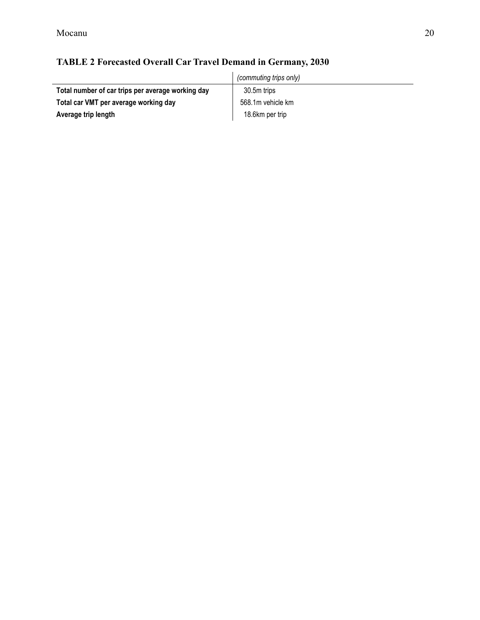|                                                   | (commuting trips only) |
|---------------------------------------------------|------------------------|
| Total number of car trips per average working day | 30.5m trips            |
| Total car VMT per average working day             | 568.1m vehicle km      |
| Average trip length                               | 18.6km per trip        |

# **TABLE 2 Forecasted Overall Car Travel Demand in Germany, 2030**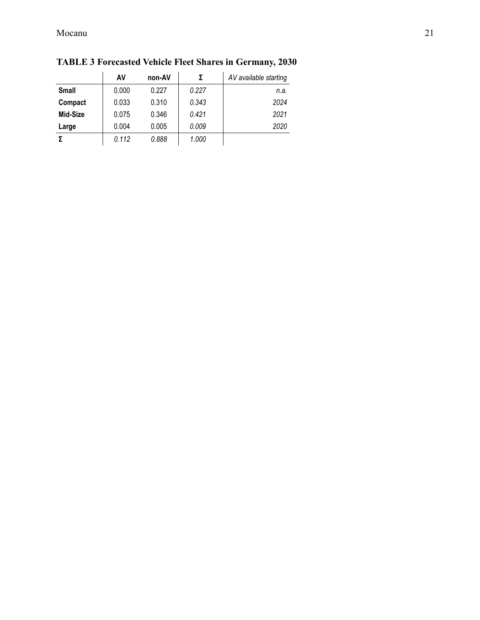| AV    | non-AV | Σ     | AV available starting |
|-------|--------|-------|-----------------------|
| 0.000 | 0.227  | 0.227 | n.a.                  |
| 0.033 | 0.310  | 0.343 | 2024                  |
| 0.075 | 0.346  | 0.421 | 2021                  |
| 0.004 | 0.005  | 0.009 | 2020                  |
| 0.112 | 0.888  | 1.000 |                       |
|       |        |       |                       |

**TABLE 3 Forecasted Vehicle Fleet Shares in Germany, 2030**